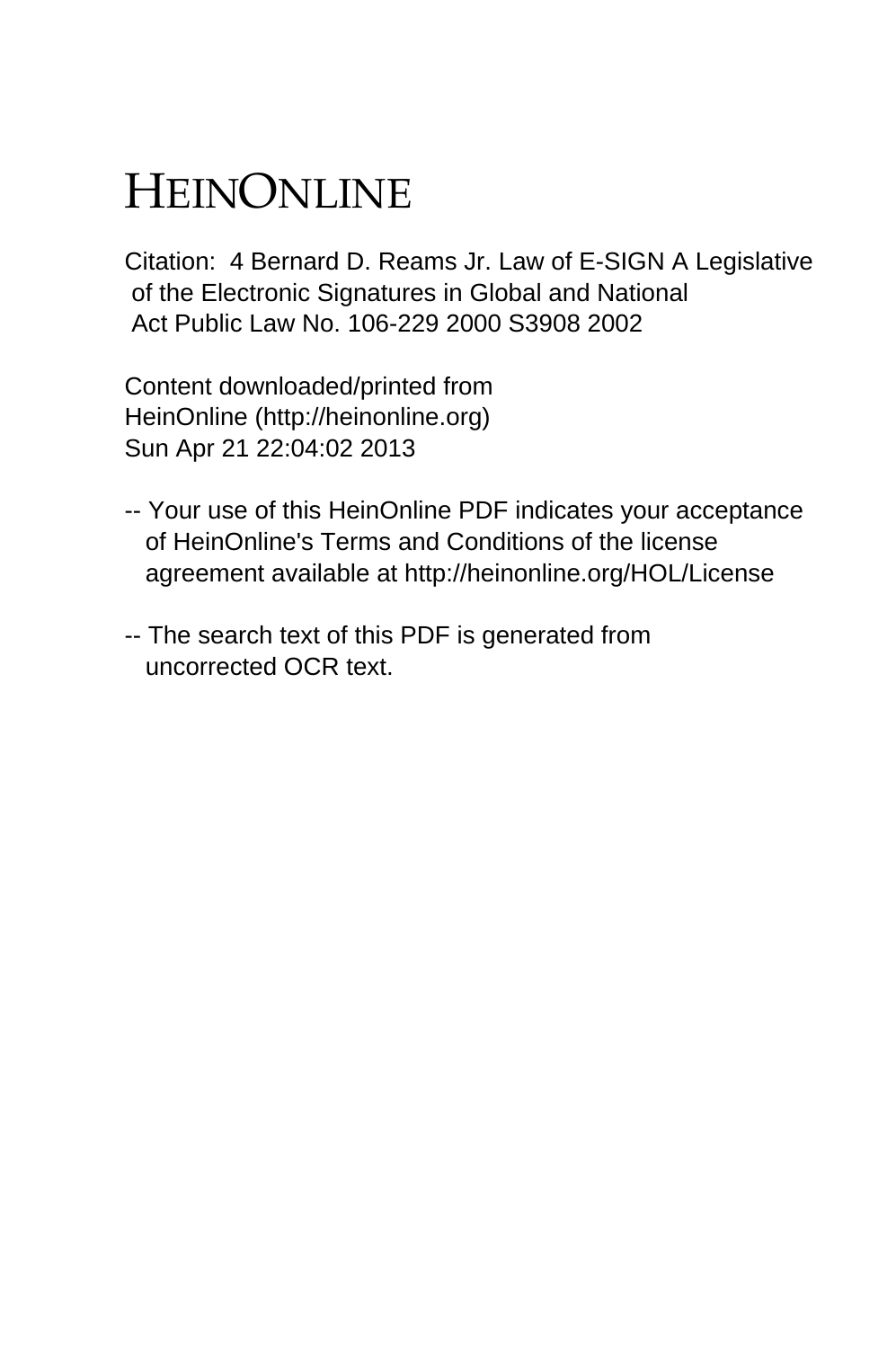## HEINONLINE

Citation: 4 Bernard D. Reams Jr. Law of E-SIGN A Legislative of the Electronic Signatures in Global and National Act Public Law No. 106-229 2000 S3908 2002

Content downloaded/printed from HeinOnline (http://heinonline.org) Sun Apr 21 22:04:02 2013

- -- Your use of this HeinOnline PDF indicates your acceptance of HeinOnline's Terms and Conditions of the license agreement available at http://heinonline.org/HOL/License
- -- The search text of this PDF is generated from uncorrected OCR text.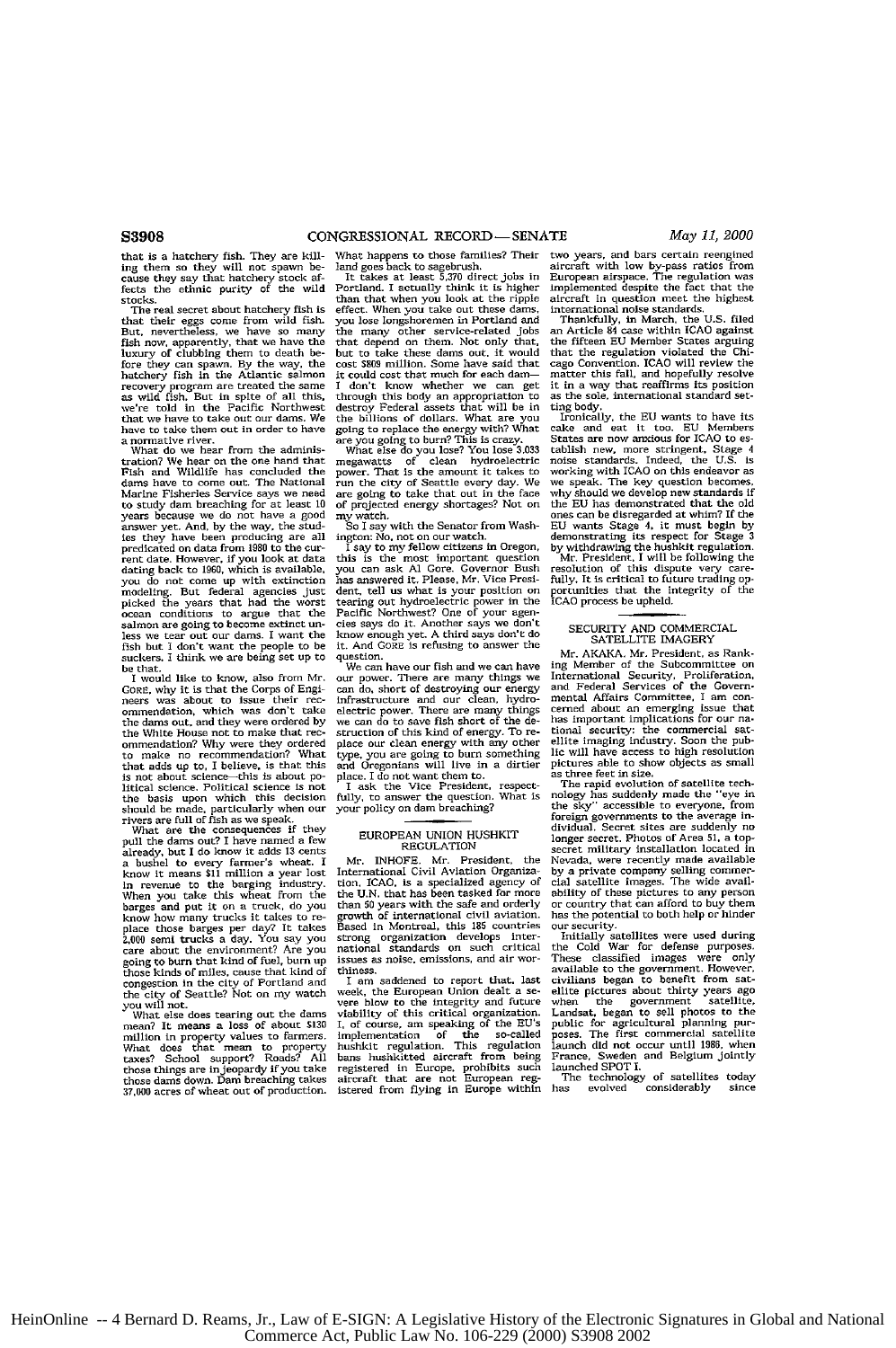that is a hatchery fish. They **are** kill**ing** them so they will **not** spawn be-cause they say that hatchery stock **af-**fects the ethnic purity of the wild stocks.

The real secret about hatchery fish is<br>that their eggs come from wild fish that their eggs come from wild fish<br>But, nevertheless, we have so many<br>then now, apparently, that we have the<br>low-tower by can spawn. By the way, t recovery program are treated the same **as** wild fish. But in spite of all this, we're told in the Pacific Northwest that we have **to** take out our dams. We have to take them out in order to have a normative river.<br>What do we hear from the adminis-

tration? We hear on the one hand that Fish and Wildlife has concluded the dams have to come out. The National Marine Fisheries Service says we need to study dam breaching for at least **<sup>10</sup>** years because we do not have a good answer yet. And, by the way, the studites they have been producing are all predicated on data from **1980** to the current date. However. if you look at data dating back to **1960,** which is available, **you** do not come up with extinction modeling. But federal agencies just picked the years that had the worst ocean conditions to argue that the salmon **are** going to become extinct unless we tear out our dams. I want the fish but I don't want the people to be suckers. I think we are being set up to **be** that.

I would like to know, also from Mr. GORE, why it is that the Corps of Engi-neers was about to issue their **re-**ommendation, which was don't take the dams out, and they were ordered by<br>the White House not to make that recthe White House not to make that recommendation? Why over the point of make that the<br>that adds up to the contended in the state of the state in the state in<br>state to make state of the state of the state of the basis upon w

harges and put it on a truck, do you<br>know how many trucks it takes to replace those barges per day? It takes **2.000** semi trucks a day. You say you care about the environment? Are you exame word that kind of fuel, burn up<br>those kinds of miles, cause that kind of<br>the city of Seattle? Not on my watch<br>you will not.<br>What else does tearing out the dams<br>what else does tearing out the dams

mean? It means a **loss** of about **\$130** million in property values to farmers.<br>What does that mean to property<br>taxes? School support? Roads? All<br>those things are injeopardy if you take<br>those dams down. Dam breaching takes **37.000** acres of wheat out of produetion. What happens to **those** families? Their two years, **and** bars certain reengined land goes back to sagebrush. aircraft with **low** by-pass ratios from

Formation and the rights are magnitude and the rights and the rights than that when you look at the rights alternational noise standards. The you lose longshoremen in Portland and Thankfully, in March, the U.S. filed the m It could use the mean and the interval to as the sole, intermediated and the dentry Federal assets that will be interval destroy Federal assets that will be in this body.<br>The mean and the set of the sole international stan

magavatics of clean hydroelectric noise standards. Indeed, the U.S. is<br>megawar. That is the amount it takes to working with ICAO on this endeavor as<br>run the city of Seattle every day. We we speak. The key question becomes, and the city of octatal every day. We are opened the they question occuments if of projected energy shortages? **Not** on the **EU** has demonstrated that the old

or precede energy snortages? Not. on<br>
So I say with the Senator from Wash-<br>
ington: No, not on our watch.<br>
I say to my fellow citizens in Oregon,<br>
this is the most important question,<br>
you can ask Al Gore. Governor Bush<br>
h has answered in the boundary of the detection of protection of the detection of the detection of the ICAO process be upheld.<br>Pacific Northwest? One of your agencies we don't<br>Pacific Northwest? One of your agencies says do

electric power. Thero are many things corned about an emerging issue that we can do to save fish short of the **de-** has important implications for our **na**solution of this student of the ellite imaging industry. Soon the published and Oregonians will live in a dirtier pictual law access to high resolution and Oregonians will live in a dirtier pictures able to show objects as

For the International Civil Aviation Organiza- by a private company selling commer-<br>tion, ICAO, is a specialized agency of cial satellite images. The wide avail-<br>the U.N. that has been tasked for more ability of these pict than **50** years with the safe and orderly or country that can afford to buy them growth of international civil aviation. has the potential to both help or hinder Based in Montreal. this **185** countries our security. strong organization develops inter- Initially satellites were used during **atrong** organization develops inter-<br>national standards on such critical issues **as** noise. emissions, **and** air wer- These classified images were only

I am saddened to report that, has crymans began to acheite home safe<br>week, the European Union dealt a se- ellite pictures about thirty years ago The integral of the integrity and future integrity and future when the government satellite, the government satellite,  $\frac{1}{2}$  and future viability of this critical organization. Landsat, began to sell photos to the viability of this critical organization. Eansact, began to sell photos to en-<br>I, of course, am speaking of the EU's public for agricultural planning pu implementation of the so-called poses. The first commercial satellite implementation. This regulation launch did not occur until 1986, when<br>hans hushkitted aircraft from being France, Sweden and Belgium jointly<br>registered in Europe, prohibits such launched SPOT1.<br>aircraft that are not Europe itiestician in Europe, pointing and *interest that are* not European reg-<br>direction flying in Europe within has evolved considerably since<br>itered from flying in Europe within has evolved considerably since

It takes at least **5,370** direct jobs **in** European airspace. The regulation was Portland. I actually think it **is** higher implemented despite the fact that the

What else do you lose? You lose **3,033** tblish new, more stringent, Stage 4 on pugatities on the measure of the set of the set of the set of the So I say with the Sends of the So I say with the So I say with the So I wants Stage 4, it must begin by singern: No, not on our watch. Even is a set of t

It. And Goke is relusing to allower the<br>question. Mr. AKAKA. Mr. President, as Rank-<br>We can have our fish and we can have ing Member of the Subcommittee on we can have our fish and we can have ing Member of the Subcommittee on<br>our power. There are many things we International Security, Proliferation<br>can do, short of destroying our energy and Federal Services of the Govern-<br>in cerned about an emerging issue that<br>has important implications for our na-<br>tional security: the commercial sat-<br>ellite imaging industry. Soon the pub-<br>lic will have access to high resolution

place. I do not want their use.<br>
I ask the Vice President, respect-<br>
The rapid evolution of satellite tech-<br>
fully, to answer the question. What is nology has suddenly made the "eye in<br>
your policy on dam breaching?<br>
forei dividual, Secret sites are suddenly no EUROPEAN UNION HUSHKIT dividual. Secret sites are suddenly no<br>EUROPEAN UNION HUSHKIT longer secret. Photos of Area 51. a top-EGUN FREGULATION<br>secret military installation in the secret military installation located in<br>Mr. INHOFE. Mr. President, the Nevada, were recently made available

thiness. available to the government. However, I am saddened to report that. last civilians began to benefit from sat-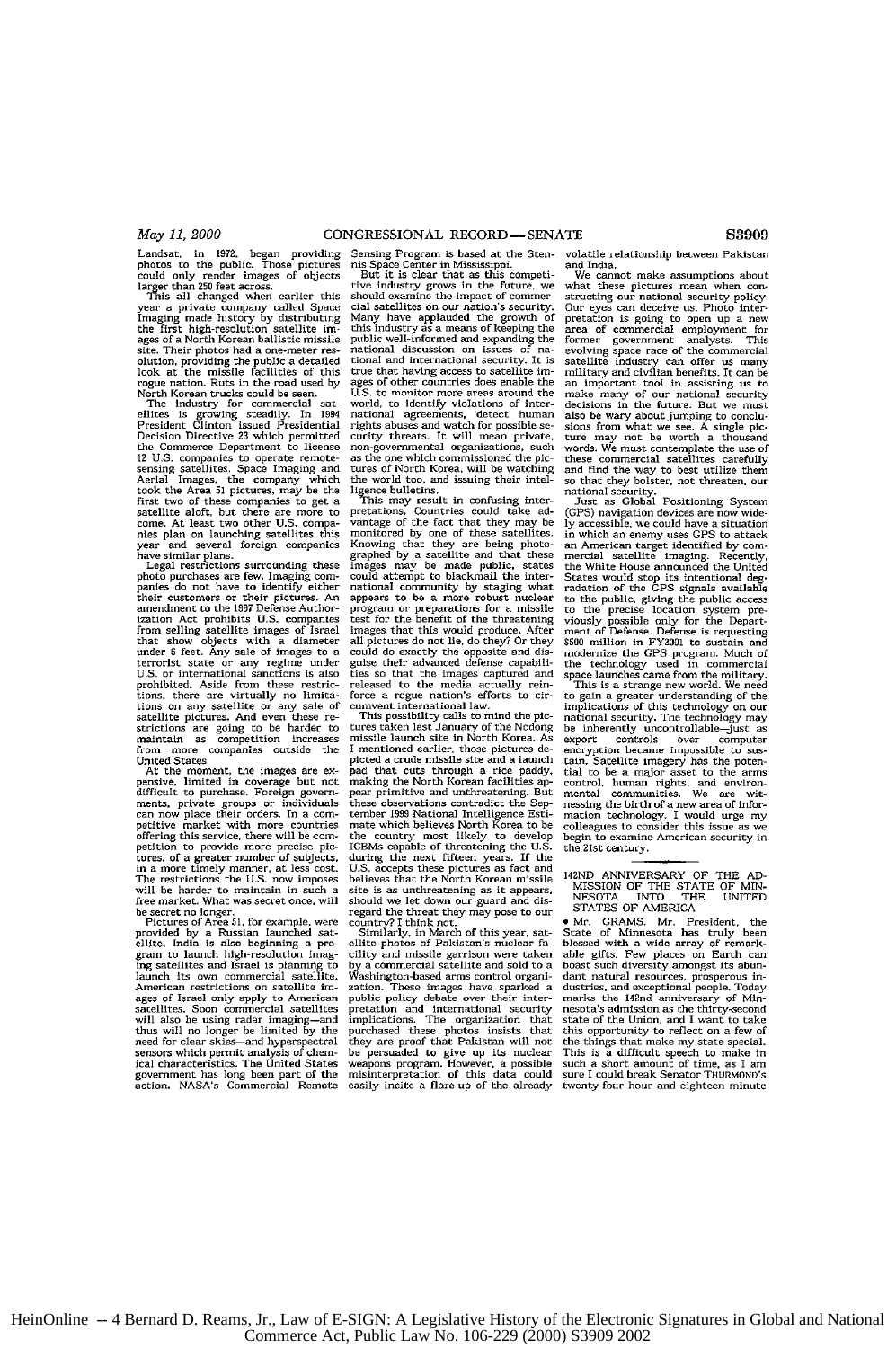Landsat, in 1972, began providing Sensing Program is based at the Sten-<br>photos to the public. Those pictures nis Space-Center in Mississippi.<br>could only render images of objects - But it is clear that as this competi-

year a private company called Space<br>Imaging made history by distributing<br>the first high-resolution satellite im-<br>ages of a North Korean ballistic missile<br> $\frac{1}{2}$  and  $\frac{1}{2}$  and  $\frac{1}{2}$  and  $\frac{1}{2}$  and  $\frac{1}{2}$  an site. Their photos had a one-meter res-<br>national discussion on issues of na-<br>olution, providing the public a detailed tional and international security. It is<br>look at the missile facilities of this true that having access North Korean trucks could be seen. **US.** to monitor more areas around the

Decision Directive 23 which permitted curity threats. It will mean private<br>the Commerce Department to license non-governmental organizations, such<br>12 U.S. companies to operate remote- as the one which commissioned the pic In Commerce Department to incense non-governmental organizations, such the pictomagnizations, such space Imaging and tures of North Korea, will be watching Aertal Images, the company which the world too, and issuing their Aerial Images, the company which the world too, and issuing their Intel- took the Area **51** pictures, may be the **llgence** bulletins. first two of these companies to get a This may result in confusing intersatellite aloft, **but** there are **more** to prerations. Countries could take **ad**come. At least two other **U.S.** compa- vantage of the fact that they may be

photo purchases are few. Imaging com- could attempt to blackmail the interpantes do not have to identify either national community by staging what their customers or their pictures. An appears to be a more robust nuclear a amendment to the 1997 Defense Author-program or preparations for a missile<br>tzation Act prohibits U.S. companies test for the benefit of the threatening<br>from selling satellite images of Israel images that this would produce The set of the set of the set of the set of the set of the set of the set of the set of the set of the set of the set of the set of the set of the set of the set of the set of the set of the set of the set of the set of th terrorist state or any regime under guise their advanced defense capabili-<br>U.S. or international sanctions is also ties so that the images captured and<br>prohibited. Aside from these restric- released to the media actually r prohibited. Aside from these restric- released to the media actually rein- tions, there are virtually no limita- force a rogue nation's efforts to cr-tions on any satellite or any sale of cumvet international law. exactlific pictures. And even these re-<br>statellity calls to mind the picture of the Nodong are going to be harder to tures taken last January of the Nodong<br>maintain as competition increases missile launch site in North Kor

pensive, limited in coverage but not making the North Korean facilities apentive, limited in coverage but not making the North Korean facilities apenting. But the person per pering govern- pear primitive and untireatening. can now place their orders. In a com-<br>tember 1999 National Intelligence Esti-<br>petitive market with more countries mate which believes North Korea to be<br>offering this service, there will be com- the country most likely to d can now piace their orests. In a com-<br>
termore issue valid methigence assumed in perfecting this service, the<br>result becom- the country most littlely to develope perfection to provide more precise pic- ICBMs capable of thr

be secret to our pose to our predictions of Area 51, for example, were country? I think not. provided by a Russian launched sat- Similarly, in March of this year, sat- elite photos of Pakistan's nuclear fa- plus and provid Fullite. India is also beginning a pro-ellite photos of Pakistan's nuclear fa-<br>gram to launch high-resolution imag-ellity and missile garrison were taken<br>ing satellites and Israel is planning to by a commercial satellite a American restrictions on satellite im- zation. These images have sparked a ages of Israel only apply to American public policy debate over **their** intersatellites. Soon commercial satellites pretation and international security<br>will also be using radar imaging—and implications. The organization that<br>thus will no longer be limited by the purchased these photos insists that ical characteristics. The United States weapons program. However. a possible government has long been part of the misinterpretation of this data could action. NASA's Commercial Remote easily incite a flare-up of the already

maxes the public. Those pictures in Space Center in Mississippi.<br>
2011 on the future industry grows in the future, we<br>
larger than 250 feet across. We industry grows in the future, we<br>
This all changed when earlier this sh the first high-resolution satellite im-<br>Many have applauded the growth of<br>this industry as a means of keeping the<br>public well-informed and expanding the<br>national discussion on issues of na-<br>tional and international securit The industry for commercial sat-world, to identify violations of inter-<br>eilites is growing steadily. In 1994 national agreements, detect human<br>President Clinton issued Presidential rights abuses and watch for possible se-

because the monitored by one of these satellites.<br>
year and several foreign companies Knowing that they are being photo-<br>
have similar plans.<br>
Eggal restrictions surrounding these images may be made public, states

I mentioned earlier, those pictures de-<br>picted a crude missile site and a launch States. Picted a crude missile launch state in North Korea. As<br>maintain as comparison using a main contrast of the method earlier, those picters de-<br>United States.<br>The images are  $\alpha$ - pad that cuts through a rice paddy,<br>p main according to maintain in such a site is as unthreatening as it appears. The restrictions the U.S. now imposes believes that the North Korean missile free market. What was secret once, will should we let down our guard

volatile relationship between Pakistan and India.<br>We cannot make assumptions about

what these pictures mean when con- structing our national security policy, Our eyes can deceive us. Photo interpretation is going to open up a new<br>area of commercial employment for<br>former government analysts. This<br>satellite industry can offer a many<br>satellite industry can offer us many<br>military and civilian benefits. It can be<br>an i make many of our national security decisions in the future. But we must also be wary about jumping to conclusions from what we see. A single pic-<br>sions from what we see. A single pic-<br>ture may mot be worth a thousand<br>words. We must contemplate the use of<br>these commercial satellites carefully<br>a

national security. Just as Global Positioning System **(CPS)** navigation devices are **now** widely accessible, we could have a situation in which an enemy uses **GPS** to attack an American target identified by com-mercial satellite imaging. Recently. the White **House** announced the United States would stop its intentional degradation of the GPS signals available to the public, giving the public access<br>to the public, giving the public accesses<br>to the public, giving the public accesses<br>to the precise location **\$500** million in PY20I1 to sustain and

modernize the GPS program. Much all<br>modernize the GPS program. Much all<br>space launches came from the military.<br>This is a strange new world. We need<br>to gain a greater understanding of the<br>implications of this technology mod export controls over computer<br>encryption became impossible to sus-<br>tial to be a major asset to the arms<br>cantrol, human rights, and environ-<br>control, human rights, and environ-<br>mental communities. We are wit-<br>messing the bi begin to examine American security in<br>the 21st century,

142ND ANNIVERSARY OF THE **AD-**MISSION *OF* THE STATE OF MIN- **NESOTA** INTO THE UNITED STATES *OF* AMERICA

\* Mr. GRAMS. Mr. President, the State of Minnesota has truly been blessed with a wide array of remarkable gifts. **Pew** places on Earth can boast such diversity amongst its abundant natural resources, prosperous in-dustries, and exceptional people. Today marks the 142nd anniversary of Minnesota's admission as the thirty-second state **of** the Uion. and I want to take this opportunity to reflect on a few of the things that make my state special. This is a difficult speech to make in such a short amount of time, as I am<br>sure I could break Senator THURMOND's twenty-four hour **and** eighteen minute

**83909**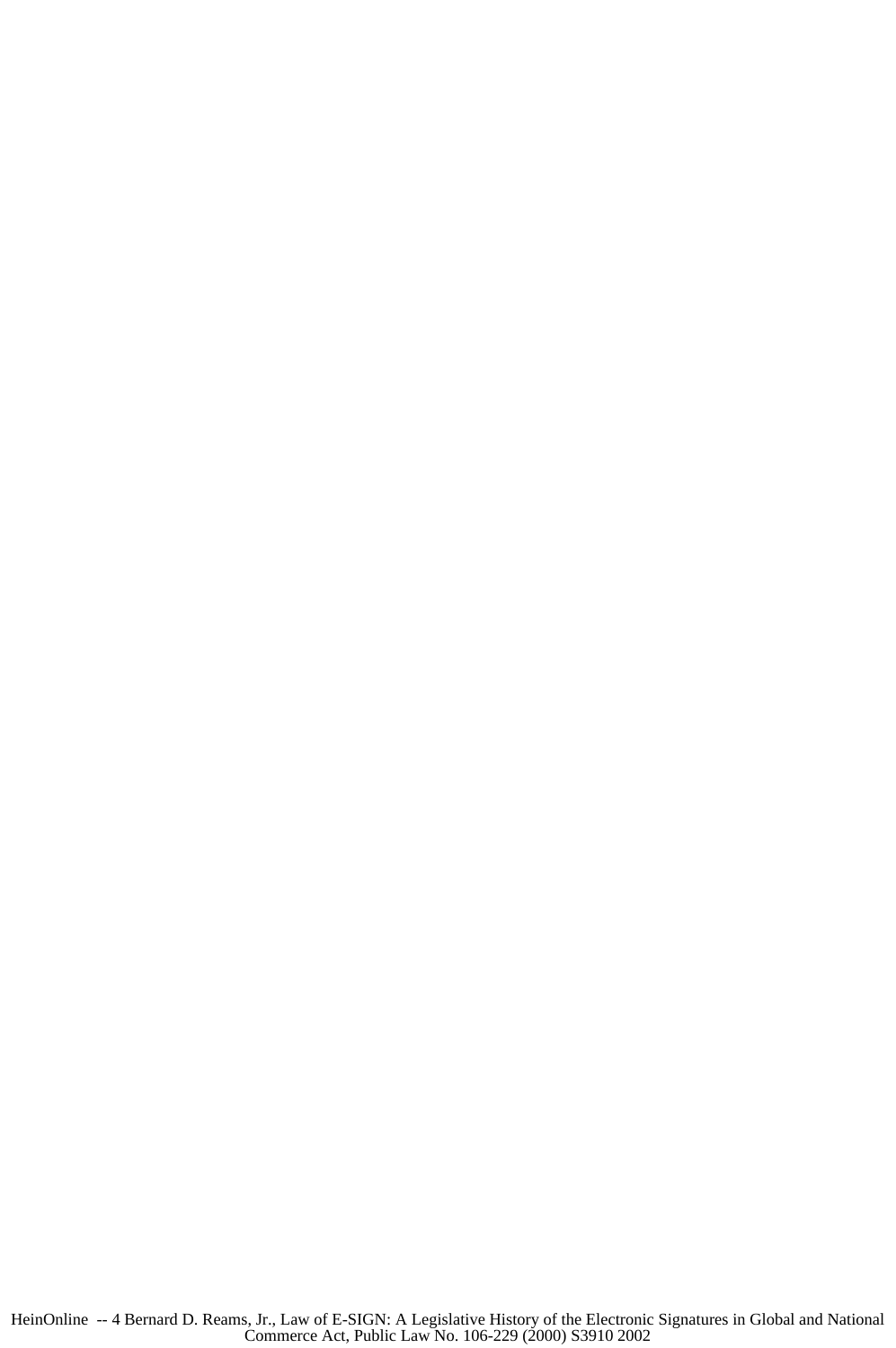HeinOnline -- 4 Bernard D. Reams, Jr., Law of E-SIGN: A Legislative History of the Electronic Signatures in Global and National Commerce Act, Public Law No. 106-229 (2000) S3910 2002